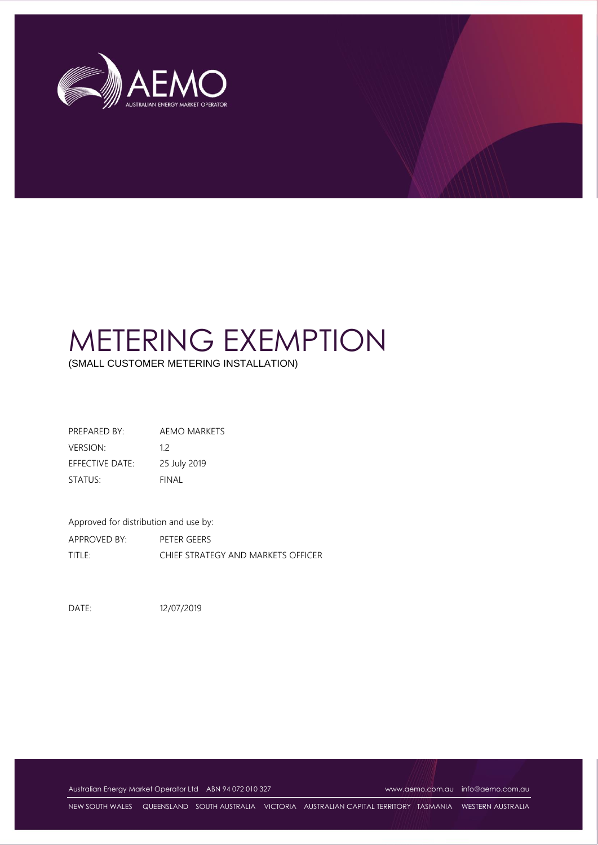

# METERING EXEMPTION

(SMALL CUSTOMER METERING INSTALLATION)

PREPARED BY: AEMO MARKETS VERSION: 1.2 EFFECTIVE DATE: 25 July 2019 STATUS: FINAL

Approved for distribution and use by: APPROVED BY: PETER GEERS TITLE: CHIEF STRATEGY AND MARKETS OFFICER

DATE: 12/07/2019

Australian Energy Market Operator Ltd ABN 94 072 010 327 [www.aemo.com.au](http://www.aemo.com.au/) [info@aemo.com.au](mailto:info@aemo.com.au)

NEW SOUTH WALES QUEENSLAND SOUTH AUSTRALIA VICTORIA AUSTRALIAN CAPITAL TERRITORY TASMANIA WESTERN AUSTRALIA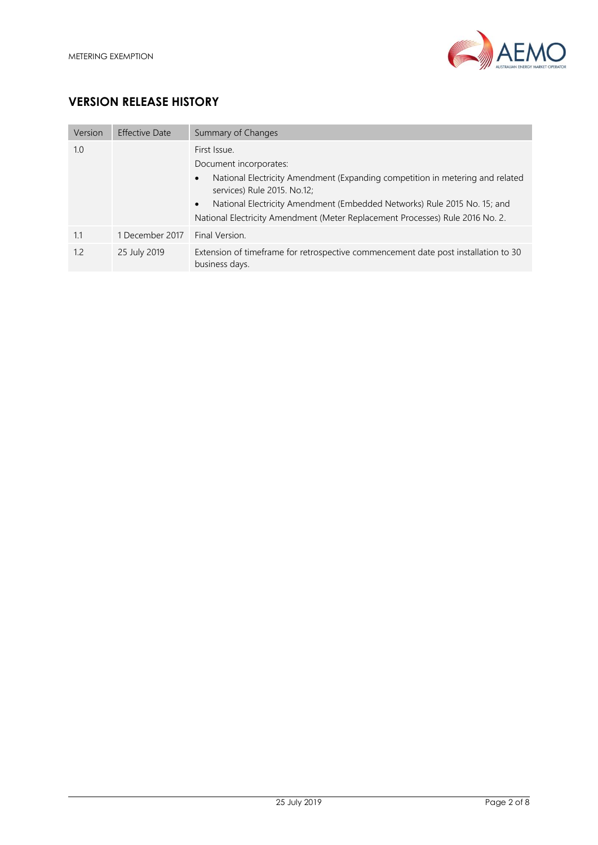

# **VERSION RELEASE HISTORY**

| Version | Effective Date  | Summary of Changes                                                                                                                                                                                                                                                                                                                            |
|---------|-----------------|-----------------------------------------------------------------------------------------------------------------------------------------------------------------------------------------------------------------------------------------------------------------------------------------------------------------------------------------------|
| 1.0     |                 | First Issue.<br>Document incorporates:<br>National Electricity Amendment (Expanding competition in metering and related<br>$\bullet$<br>services) Rule 2015. No.12;<br>National Electricity Amendment (Embedded Networks) Rule 2015 No. 15; and<br>$\bullet$<br>National Electricity Amendment (Meter Replacement Processes) Rule 2016 No. 2. |
| 1.1     | 1 December 2017 | Final Version.                                                                                                                                                                                                                                                                                                                                |
| 1.2     | 25 July 2019    | Extension of timeframe for retrospective commencement date post installation to 30<br>business days.                                                                                                                                                                                                                                          |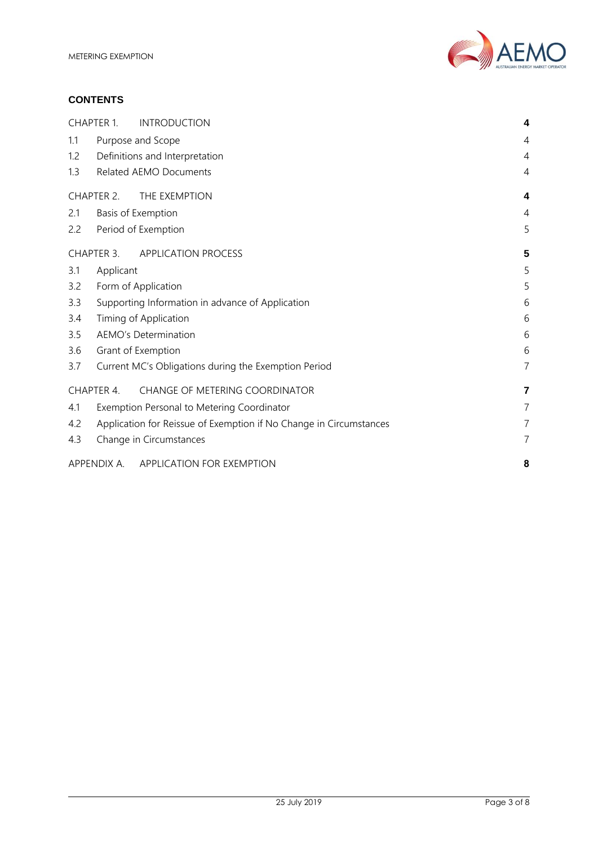

#### **CONTENTS**

|     | CHAPTER 1.                                                         | <b>INTRODUCTION</b>                        | 4              |  |  |  |
|-----|--------------------------------------------------------------------|--------------------------------------------|----------------|--|--|--|
| 1.1 |                                                                    | Purpose and Scope                          | 4              |  |  |  |
| 1.2 | Definitions and Interpretation                                     |                                            |                |  |  |  |
| 1.3 |                                                                    | Related AEMO Documents                     | 4              |  |  |  |
|     | CHAPTER 2.                                                         | THE EXEMPTION                              | 4              |  |  |  |
| 2.1 |                                                                    | Basis of Exemption                         | 4              |  |  |  |
| 2.2 |                                                                    | Period of Exemption                        | 5              |  |  |  |
|     | CHAPTER 3.                                                         | <b>APPLICATION PROCESS</b>                 | 5              |  |  |  |
| 3.1 | Applicant                                                          |                                            | 5              |  |  |  |
| 3.2 | Form of Application                                                | 5                                          |                |  |  |  |
| 3.3 | Supporting Information in advance of Application                   | 6                                          |                |  |  |  |
| 3.4 | Timing of Application                                              |                                            |                |  |  |  |
| 3.5 | AEMO's Determination                                               |                                            |                |  |  |  |
| 3.6 |                                                                    | Grant of Exemption                         | 6              |  |  |  |
| 3.7 | Current MC's Obligations during the Exemption Period               |                                            |                |  |  |  |
|     | CHAPTER 4.                                                         | <b>CHANGE OF METERING COORDINATOR</b>      | 7              |  |  |  |
| 4.1 |                                                                    | Exemption Personal to Metering Coordinator | $\overline{7}$ |  |  |  |
| 4.2 | Application for Reissue of Exemption if No Change in Circumstances |                                            |                |  |  |  |
| 4.3 |                                                                    | Change in Circumstances                    | $\overline{7}$ |  |  |  |
|     |                                                                    | APPENDIX A. APPLICATION FOR EXEMPTION      | 8              |  |  |  |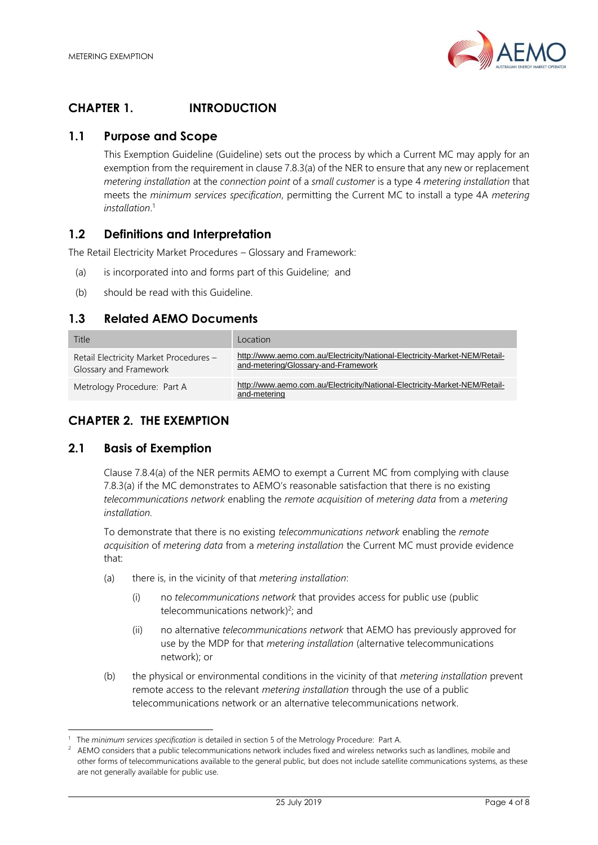

# <span id="page-3-0"></span>**CHAPTER 1. INTRODUCTION**

## <span id="page-3-1"></span>**1.1 Purpose and Scope**

This Exemption Guideline (Guideline) sets out the process by which a Current MC may apply for an exemption from the requirement in clause 7.8.3(a) of the NER to ensure that any new or replacement *metering installation* at the *connection point* of a *small customer* is a type 4 *metering installation* that meets the *minimum services specification*, permitting the Current MC to install a type 4A *metering installation*. 1

# <span id="page-3-2"></span>**1.2 Definitions and Interpretation**

The Retail Electricity Market Procedures – Glossary and Framework:

- (a) is incorporated into and forms part of this Guideline; and
- (b) should be read with this Guideline.

#### <span id="page-3-3"></span>**1.3 Related AEMO Documents**

| Title                                                            | Location                                                                                                          |
|------------------------------------------------------------------|-------------------------------------------------------------------------------------------------------------------|
| Retail Electricity Market Procedures -<br>Glossary and Framework | http://www.aemo.com.au/Electricity/National-Electricity-Market-NEM/Retail-<br>and-metering/Glossary-and-Framework |
| Metrology Procedure: Part A                                      | http://www.aemo.com.au/Electricity/National-Electricity-Market-NEM/Retail-<br>and-metering                        |

# <span id="page-3-4"></span>**CHAPTER 2. THE EXEMPTION**

#### <span id="page-3-5"></span>**2.1 Basis of Exemption**

l

Clause 7.8.4(a) of the NER permits AEMO to exempt a Current MC from complying with clause 7.8.3(a) if the MC demonstrates to AEMO's reasonable satisfaction that there is no existing *telecommunications network* enabling the *remote acquisition* of *metering data* from a *metering installation.*

To demonstrate that there is no existing *telecommunications network* enabling the *remote acquisition* of *metering data* from a *metering installation* the Current MC must provide evidence that:

- (a) there is, in the vicinity of that *metering installation*:
	- (i) no *telecommunications network* that provides access for public use (public telecommunications network) 2 ; and
	- (ii) no alternative *telecommunications network* that AEMO has previously approved for use by the MDP for that *metering installation* (alternative telecommunications network); or
- (b) the physical or environmental conditions in the vicinity of that *metering installation* prevent remote access to the relevant *metering installation* through the use of a public telecommunications network or an alternative telecommunications network.

<sup>1</sup> The *minimum services specification* is detailed in section 5 of the Metrology Procedure: Part A.

<sup>2</sup> AEMO considers that a public telecommunications network includes fixed and wireless networks such as landlines, mobile and other forms of telecommunications available to the general public, but does not include satellite communications systems, as these are not generally available for public use.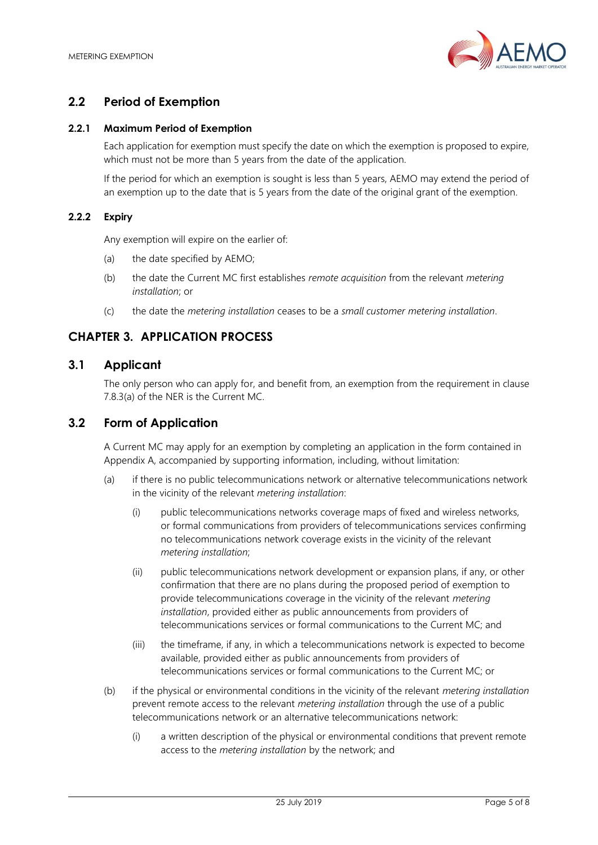

# <span id="page-4-0"></span>**2.2 Period of Exemption**

#### **2.2.1 Maximum Period of Exemption**

Each application for exemption must specify the date on which the exemption is proposed to expire, which must not be more than 5 years from the date of the application.

If the period for which an exemption is sought is less than 5 years, AEMO may extend the period of an exemption up to the date that is 5 years from the date of the original grant of the exemption.

#### **2.2.2 Expiry**

Any exemption will expire on the earlier of:

- (a) the date specified by AEMO;
- (b) the date the Current MC first establishes *remote acquisition* from the relevant *metering installation*; or
- (c) the date the *metering installation* ceases to be a *small customer metering installation*.

# <span id="page-4-1"></span>**CHAPTER 3. APPLICATION PROCESS**

#### <span id="page-4-2"></span>**3.1 Applicant**

The only person who can apply for, and benefit from, an exemption from the requirement in clause 7.8.3(a) of the NER is the Current MC.

#### <span id="page-4-3"></span>**3.2 Form of Application**

A Current MC may apply for an exemption by completing an application in the form contained in Appendix A, accompanied by supporting information, including, without limitation:

- (a) if there is no public telecommunications network or alternative telecommunications network in the vicinity of the relevant *metering installation*:
	- (i) public telecommunications networks coverage maps of fixed and wireless networks, or formal communications from providers of telecommunications services confirming no telecommunications network coverage exists in the vicinity of the relevant *metering installation*;
	- (ii) public telecommunications network development or expansion plans, if any, or other confirmation that there are no plans during the proposed period of exemption to provide telecommunications coverage in the vicinity of the relevant *metering installation*, provided either as public announcements from providers of telecommunications services or formal communications to the Current MC; and
	- (iii) the timeframe, if any, in which a telecommunications network is expected to become available, provided either as public announcements from providers of telecommunications services or formal communications to the Current MC; or
- (b) if the physical or environmental conditions in the vicinity of the relevant *metering installation* prevent remote access to the relevant *metering installation* through the use of a public telecommunications network or an alternative telecommunications network:
	- (i) a written description of the physical or environmental conditions that prevent remote access to the *metering installation* by the network; and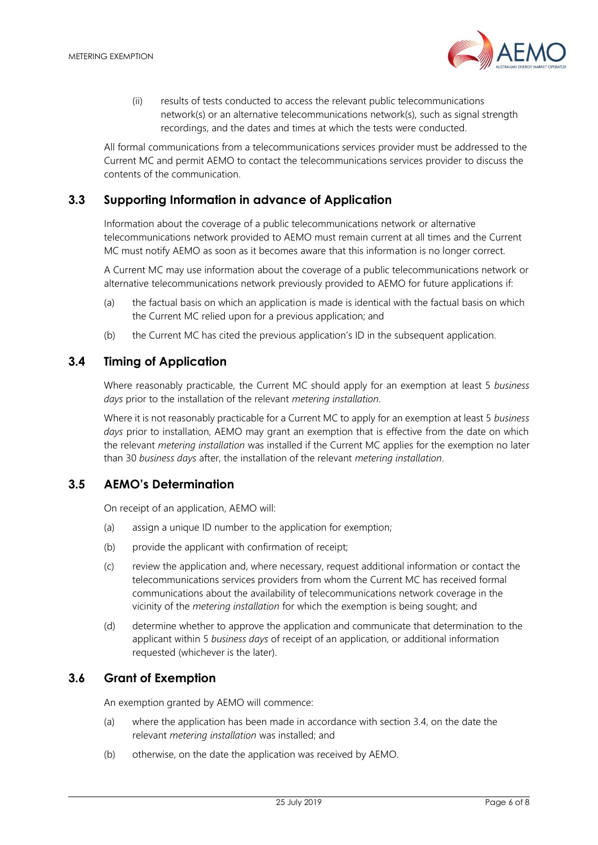

(ii) results of tests conducted to access the relevant public telecommunications network(s) or an alternative telecommunications network(s), such as signal strength recordings, and the dates and times at which the tests were conducted.

All formal communications from a telecommunications services provider must be addressed to the Current MC and permit AEMO to contact the telecommunications services provider to discuss the contents of the communication.

## <span id="page-5-0"></span>**3.3 Supporting Information in advance of Application**

Information about the coverage of a public telecommunications network or alternative telecommunications network provided to AEMO must remain current at all times and the Current MC must notify AEMO as soon as it becomes aware that this information is no longer correct.

A Current MC may use information about the coverage of a public telecommunications network or alternative telecommunications network previously provided to AEMO for future applications if:

- (a) the factual basis on which an application is made is identical with the factual basis on which the Current MC relied upon for a previous application; and
- (b) the Current MC has cited the previous application's ID in the subsequent application.

## <span id="page-5-1"></span>**3.4 Timing of Application**

Where reasonably practicable, the Current MC should apply for an exemption at least 5 *business days* prior to the installation of the relevant *metering installation*.

Where it is not reasonably practicable for a Current MC to apply for an exemption at least 5 *business days* prior to installation, AEMO may grant an exemption that is effective from the date on which the relevant *metering installation* was installed if the Current MC applies for the exemption no later than 30 *business days* after, the installation of the relevant *metering installation*.

# <span id="page-5-2"></span>**3.5 AEMO's Determination**

On receipt of an application, AEMO will:

- (a) assign a unique ID number to the application for exemption;
- (b) provide the applicant with confirmation of receipt;
- (c) review the application and, where necessary, request additional information or contact the telecommunications services providers from whom the Current MC has received formal communications about the availability of telecommunications network coverage in the vicinity of the *metering installation* for which the exemption is being sought; and
- (d) determine whether to approve the application and communicate that determination to the applicant within 5 *business days* of receipt of an application, or additional information requested (whichever is the later).

#### <span id="page-5-3"></span>**3.6 Grant of Exemption**

An exemption granted by AEMO will commence:

- (a) where the application has been made in accordance with section 3.4, on the date the relevant *metering installation* was installed; and
- (b) otherwise, on the date the application was received by AEMO.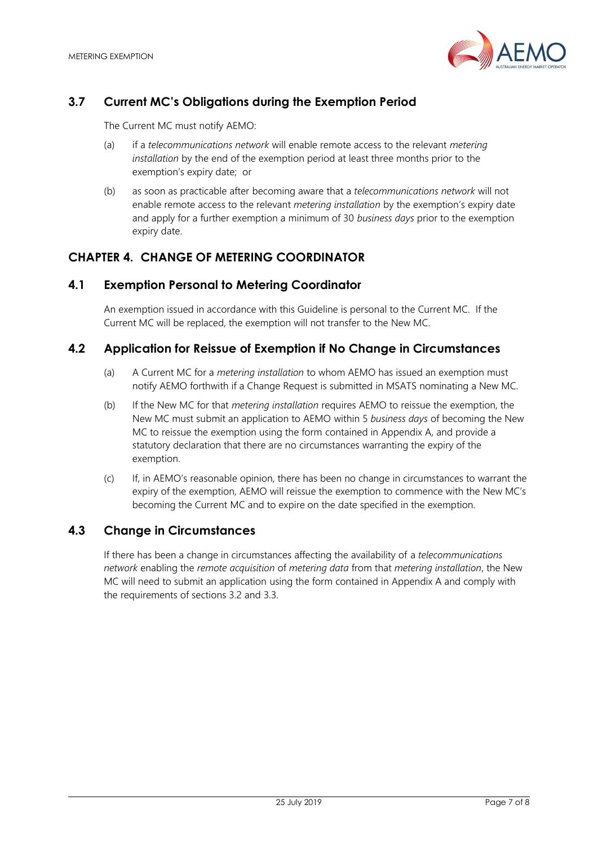

# <span id="page-6-0"></span>**3.7 Current MC's Obligations during the Exemption Period**

The Current MC must notify AEMO:

- (a) if a *telecommunications network* will enable remote access to the relevant *metering installation* by the end of the exemption period at least three months prior to the exemption's expiry date; or
- (b) as soon as practicable after becoming aware that a *telecommunications network* will not enable remote access to the relevant *metering installation* by the exemption's expiry date and apply for a further exemption a minimum of 30 *business days* prior to the exemption expiry date.

# <span id="page-6-1"></span>**CHAPTER 4. CHANGE OF METERING COORDINATOR**

#### <span id="page-6-2"></span>**4.1 Exemption Personal to Metering Coordinator**

An exemption issued in accordance with this Guideline is personal to the Current MC. If the Current MC will be replaced, the exemption will not transfer to the New MC.

#### <span id="page-6-3"></span>**4.2 Application for Reissue of Exemption if No Change in Circumstances**

- (a) A Current MC for a *metering installation* to whom AEMO has issued an exemption must notify AEMO forthwith if a Change Request is submitted in MSATS nominating a New MC.
- (b) If the New MC for that *metering installation* requires AEMO to reissue the exemption, the New MC must submit an application to AEMO within 5 *business days* of becoming the New MC to reissue the exemption using the form contained in Appendix A, and provide a statutory declaration that there are no circumstances warranting the expiry of the exemption.
- (c) If, in AEMO's reasonable opinion, there has been no change in circumstances to warrant the expiry of the exemption, AEMO will reissue the exemption to commence with the New MC's becoming the Current MC and to expire on the date specified in the exemption.

#### <span id="page-6-4"></span>**4.3 Change in Circumstances**

If there has been a change in circumstances affecting the availability of a *telecommunications network* enabling the *remote acquisition* of *metering data* from that *metering installation*, the New MC will need to submit an application using the form contained in Appendix A and comply with the requirements of sections 3.2 and 3.3.